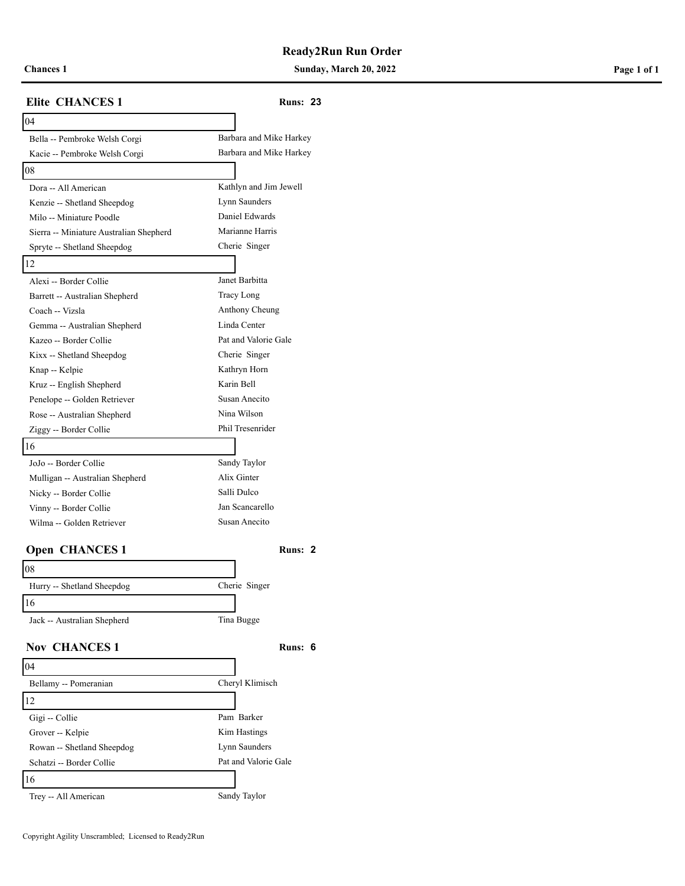**Chances 1 Sunday, March 20, 2022 Page 1 of 1**

# **Elite CHANCES 1 Runs: 23** 04 Bella -- Pembroke Welsh Corgi Barbara and Mike Harkey Kacie -- Pembroke Welsh Corgi Barbara and Mike Harkey 08 Dora -- All American Kathlyn and Jim Jewell Kenzie -- Shetland Sheepdog Lynn Saunders Milo -- Miniature Poodle Daniel Edwards Sierra -- Miniature Australian Shepherd Marianne Harris Spryte -- Shetland Sheepdog Cherie Singer 12 Alexi -- Border Collie Janet Barbitta Barrett -- Australian Shepherd Tracy Long Coach -- Vizsla Anthony Cheung Gemma -- Australian Shepherd Linda Center Kazeo -- Border Collie Pat and Valorie Gale Kixx -- Shetland Sheepdog Cherie Singer Knap -- Kelpie Kathryn Horn Kruz -- English Shepherd Karin Bell Penelope -- Golden Retriever Susan Anecito Rose -- Australian Shepherd Nina Wilson Ziggy -- Border Collie Phil Tresenrider 16 JoJo -- Border Collie Sandy Taylor Mulligan -- Australian Shepherd Alix Ginter Nicky -- Border Collie Salli Dulco Vinny -- Border Collie Jan Scancarello Wilma -- Golden Retriever Susan Anecito **Open CHANCES 1 Runs:** 2 08 Hurry -- Shetland Sheepdog Cherie Singer 16 Jack -- Australian Shepherd Tina Bugge **Nov CHANCES 1 Runs: 6** 04 Bellamy -- Pomeranian Cheryl Klimisch 12 Gigi -- Collie Pam Barker Grover -- Kelpie Kim Hastings Rowan -- Shetland Sheepdog Lynn Saunders Schatzi -- Border Collie Pat and Valorie Gale 16 Trey -- All American Sandy Taylor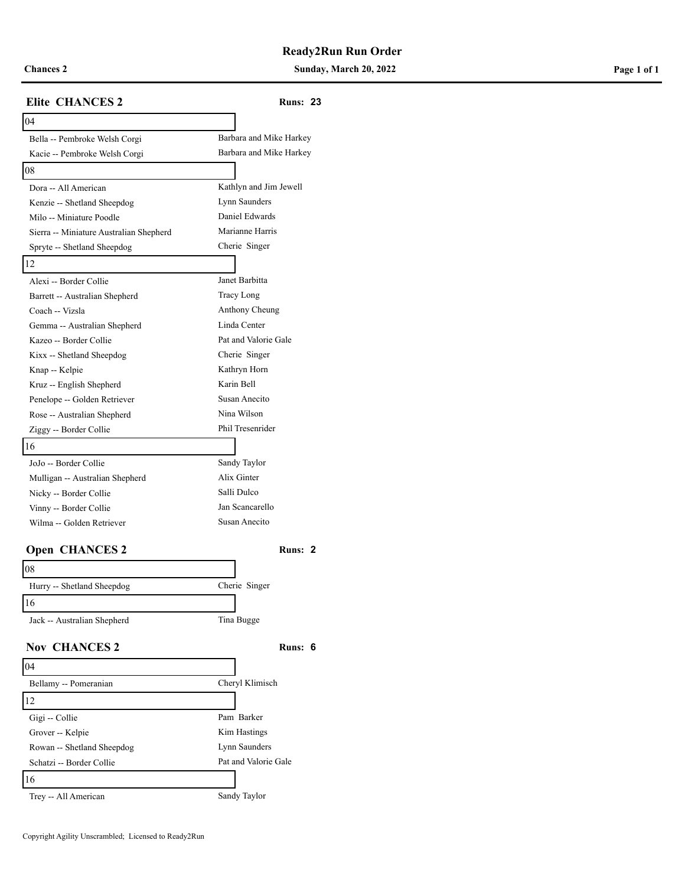**Chances 2 Sunday, March 20, 2022 Page 1 of 1**

| <b>Elite CHANCES 2</b>                           | <b>Runs: 23</b>                 |  |
|--------------------------------------------------|---------------------------------|--|
| 04                                               |                                 |  |
| Bella -- Pembroke Welsh Corgi                    | Barbara and Mike Harkey         |  |
| Kacie -- Pembroke Welsh Corgi                    | Barbara and Mike Harkey         |  |
| 08                                               |                                 |  |
| Dora -- All American                             | Kathlyn and Jim Jewell          |  |
| Kenzie -- Shetland Sheepdog                      | Lynn Saunders                   |  |
| Milo -- Miniature Poodle                         | Daniel Edwards                  |  |
| Sierra -- Miniature Australian Shepherd          | Marianne Harris                 |  |
| Spryte -- Shetland Sheepdog                      | Cherie Singer                   |  |
| 12                                               |                                 |  |
| Alexi -- Border Collie                           | Janet Barbitta                  |  |
| Barrett -- Australian Shepherd                   | Tracy Long                      |  |
| Coach -- Vizsla                                  | Anthony Cheung                  |  |
| Gemma -- Australian Shepherd                     | Linda Center                    |  |
| Kazeo -- Border Collie                           | Pat and Valorie Gale            |  |
| Kixx -- Shetland Sheepdog                        | Cherie Singer                   |  |
| Knap -- Kelpie                                   | Kathryn Horn                    |  |
| Kruz -- English Shepherd                         | Karin Bell                      |  |
| Penelope -- Golden Retriever                     | Susan Anecito                   |  |
| Rose -- Australian Shepherd                      | Nina Wilson<br>Phil Tresenrider |  |
| Ziggy -- Border Collie                           |                                 |  |
| 16                                               |                                 |  |
| JoJo -- Border Collie                            | Sandy Taylor<br>Alix Ginter     |  |
| Mulligan -- Australian Shepherd                  | Salli Dulco                     |  |
| Nicky -- Border Collie<br>Vinny -- Border Collie | Jan Scancarello                 |  |
| Wilma -- Golden Retriever                        | Susan Anecito                   |  |
|                                                  |                                 |  |
| <b>Open CHANCES 2</b>                            | Runs: 2                         |  |
| $\overline{08}$                                  |                                 |  |
| Hurry -- Shetland Sheepdog                       | Cherie Singer                   |  |
| $\overline{16}$                                  |                                 |  |
|                                                  |                                 |  |
| Jack -- Australian Shepherd                      | Tina Bugge                      |  |
| <b>Nov CHANCES 2</b>                             | Runs: 6                         |  |
| 04                                               |                                 |  |
| Bellamy -- Pomeranian                            | Cheryl Klimisch                 |  |
| 12                                               |                                 |  |
| Gigi -- Collie                                   | Pam Barker                      |  |
| Grover -- Kelpie                                 | Kim Hastings                    |  |
| Rowan -- Shetland Sheepdog                       | Lynn Saunders                   |  |
| Schatzi -- Border Collie                         | Pat and Valorie Gale            |  |
| 16                                               |                                 |  |
| Trey -- All American                             | Sandy Taylor                    |  |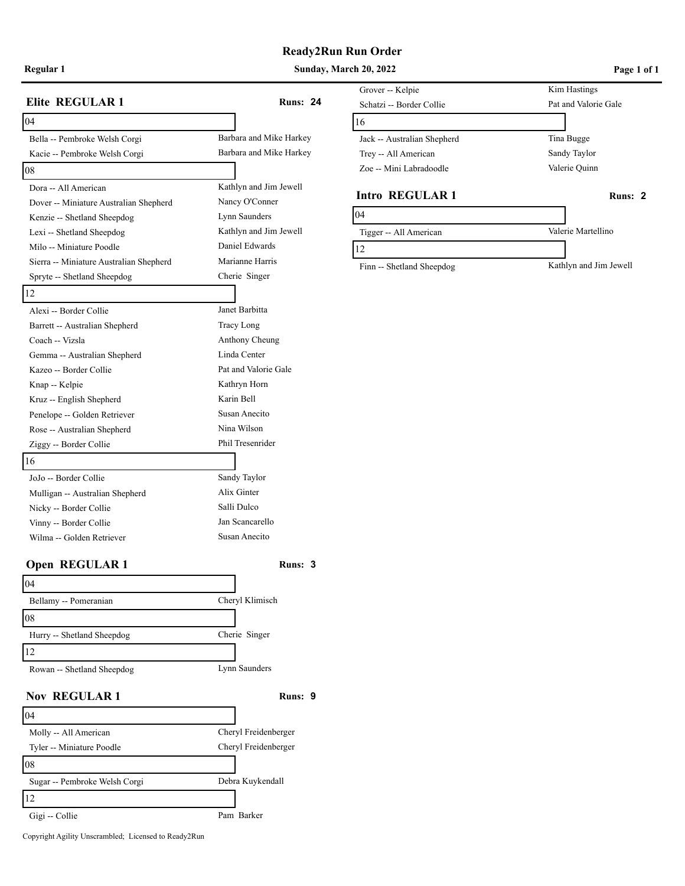**Regular 1 Sunday, March 20, 2022 Page 1 of 1**

| Elite REGULAR 1                         | <b>Runs: 24</b>         |
|-----------------------------------------|-------------------------|
| 04                                      |                         |
| Bella -- Pembroke Welsh Corgi           | Barbara and Mike Harkey |
| Kacie -- Pembroke Welsh Corgi           | Barbara and Mike Harkey |
| 08                                      |                         |
| Dora -- All American                    | Kathlyn and Jim Jewell  |
| Dover -- Miniature Australian Shepherd  | Nancy O'Conner          |
| Kenzie -- Shetland Sheepdog             | Lynn Saunders           |
| Lexi -- Shetland Sheepdog               | Kathlyn and Jim Jewell  |
| Milo -- Miniature Poodle                | Daniel Edwards          |
| Sierra -- Miniature Australian Shepherd | Marianne Harris         |
| Spryte -- Shetland Sheepdog             | Cherie Singer           |
| 12                                      |                         |
| Alexi -- Border Collie                  | Janet Barbitta          |
| Barrett -- Australian Shepherd          | Tracy Long              |
| Coach -- Vizsla                         | Anthony Cheung          |
| Gemma -- Australian Shepherd            | Linda Center            |
| Kazeo -- Border Collie                  | Pat and Valorie Gale    |
| Knap -- Kelpie                          | Kathryn Horn            |
| Kruz -- English Shepherd                | Karin Bell              |
| Penelope -- Golden Retriever            | Susan Anecito           |
| Rose -- Australian Shepherd             | Nina Wilson             |
| Ziggy -- Border Collie                  | Phil Tresenrider        |
| 16                                      |                         |
| JoJo -- Border Collie                   | Sandy Taylor            |
| Mulligan -- Australian Shepherd         | Alix Ginter             |
| Nicky -- Border Collie                  | Salli Dulco             |
| Vinny -- Border Collie                  | Jan Scancarello         |
| Wilma -- Golden Retriever               | Susan Anecito           |
| <b>Open REGULAR1</b>                    | Runs: 3                 |
| 04                                      |                         |
| Bellamy -- Pomeranian                   | Cheryl Klimisch         |
| 08                                      |                         |
| Hurry -- Shetland Sheepdog              | Cherie Singer           |
| 12                                      |                         |
| Rowan -- Shetland Sheepdog              | Lynn Saunders           |
| <b>Nov REGULAR1</b>                     | Runs: 9                 |
| 04                                      |                         |
| Molly -- All American                   | Cheryl Freidenberger    |
| Tyler -- Miniature Poodle               | Cheryl Freidenberger    |
| 08                                      |                         |
| Sugar -- Pembroke Welsh Corgi           | Debra Kuykendall        |
| 12                                      |                         |
| Gigi -- Collie                          | Pam Barker              |
|                                         |                         |

## Grover -- Kelpie Kim Hastings Schatzi -- Border Collie Pat and Valorie Gale 16 Jack -- Australian Shepherd Tina Bugge Trey -- All American Sandy Taylor Zoe -- Mini Labradoodle Valerie Quinn

### **Intro REGULAR 1 Runs: 2**

| 04                        |                        |
|---------------------------|------------------------|
| Tigger -- All American    | Valerie Martellino     |
|                           |                        |
| Finn -- Shetland Sheepdog | Kathlyn and Jim Jewell |

Copyright Agility Unscrambled; Licensed to Ready2Run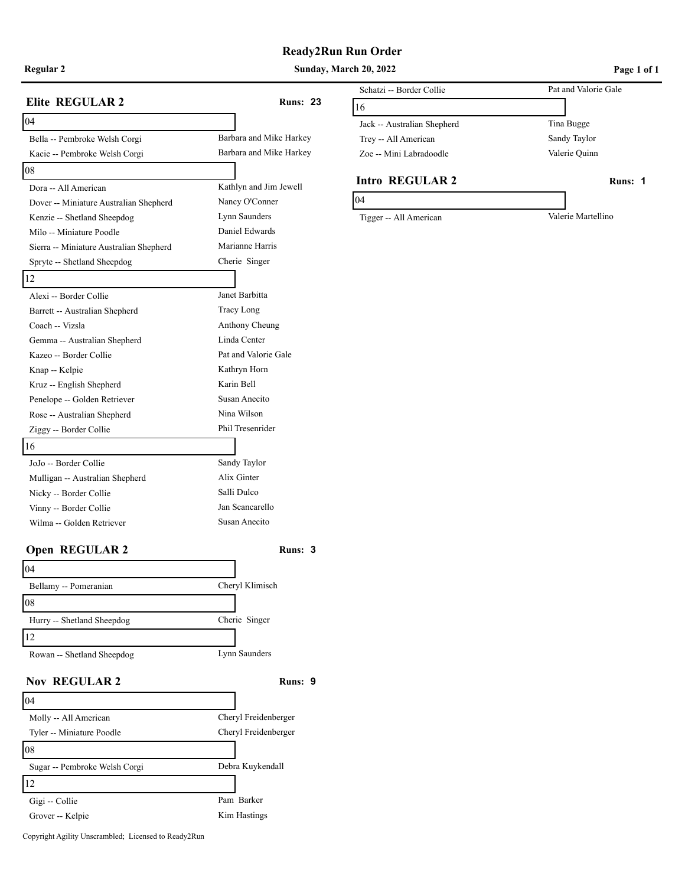## **Ready2Run Run Order**

**Regular 2 Sunday, March 20, 2022 Page 1 of 1**

| <b>Elite REGULAR 2</b>                  | <b>Runs: 23</b>         | S٥<br>16 |
|-----------------------------------------|-------------------------|----------|
| 04                                      |                         | Ja       |
| Bella -- Pembroke Welsh Corgi           | Barbara and Mike Harkey | Tı       |
| Kacie -- Pembroke Welsh Corgi           | Barbara and Mike Harkey | Z٨       |
| 08                                      |                         |          |
| Dora -- All American                    | Kathlyn and Jim Jewell  | In       |
| Dover -- Miniature Australian Shepherd  | Nancy O'Conner          | 04       |
| Kenzie -- Shetland Sheepdog             | Lynn Saunders           | Ti       |
| Milo -- Miniature Poodle                | Daniel Edwards          |          |
| Sierra -- Miniature Australian Shepherd | Marianne Harris         |          |
| Spryte -- Shetland Sheepdog             | Cherie Singer           |          |
| 12                                      |                         |          |
| Alexi -- Border Collie                  | Janet Barbitta          |          |
| Barrett -- Australian Shepherd          | Tracy Long              |          |
| Coach -- Vizsla                         | Anthony Cheung          |          |
| Gemma -- Australian Shepherd            | Linda Center            |          |
| Kazeo -- Border Collie                  | Pat and Valorie Gale    |          |
| Knap -- Kelpie                          | Kathryn Horn            |          |
| Kruz -- English Shepherd                | Karin Bell              |          |
| Penelope -- Golden Retriever            | Susan Anecito           |          |
| Rose -- Australian Shepherd             | Nina Wilson             |          |
| Ziggy -- Border Collie                  | Phil Tresenrider        |          |
| 16                                      |                         |          |
| JoJo -- Border Collie                   | Sandy Taylor            |          |
| Mulligan -- Australian Shepherd         | Alix Ginter             |          |
| Nicky -- Border Collie                  | Salli Dulco             |          |
| Vinny -- Border Collie                  | Jan Scancarello         |          |
| Wilma -- Golden Retriever               | Susan Anecito           |          |
| <b>Open REGULAR 2</b>                   | Runs: 3                 |          |
| 04                                      |                         |          |
| Bellamy -- Pomeranian                   | Cheryl Klimisch         |          |
| 08                                      |                         |          |
| Hurry -- Shetland Sheepdog              | Cherie Singer           |          |
| 12                                      |                         |          |
| Rowan -- Shetland Sheepdog              | Lynn Saunders           |          |
| <b>Nov REGULAR 2</b>                    | Runs: 9                 |          |
| 04                                      |                         |          |
| Molly -- All American                   | Cheryl Freidenberger    |          |
| Tyler -- Miniature Poodle               | Cheryl Freidenberger    |          |
| 08                                      |                         |          |
| Sugar -- Pembroke Welsh Corgi           | Debra Kuykendall        |          |
| 12                                      |                         |          |
| Gigi -- Collie                          | Pam Barker              |          |
| Grover -- Kelpie                        | Kim Hastings            |          |

## Schatzi -- Border Collie Pat and Valorie Gale 16 Jack -- Australian Shepherd Tina Bugge Trey -- All American Sandy Taylor Zoe -- Mini Labradoodle Valerie Quinn

### **Intro REGULAR 2 Runs:** 1

Tigger -- All American Valerie Martellino

Copyright Agility Unscrambled; Licensed to Ready2Run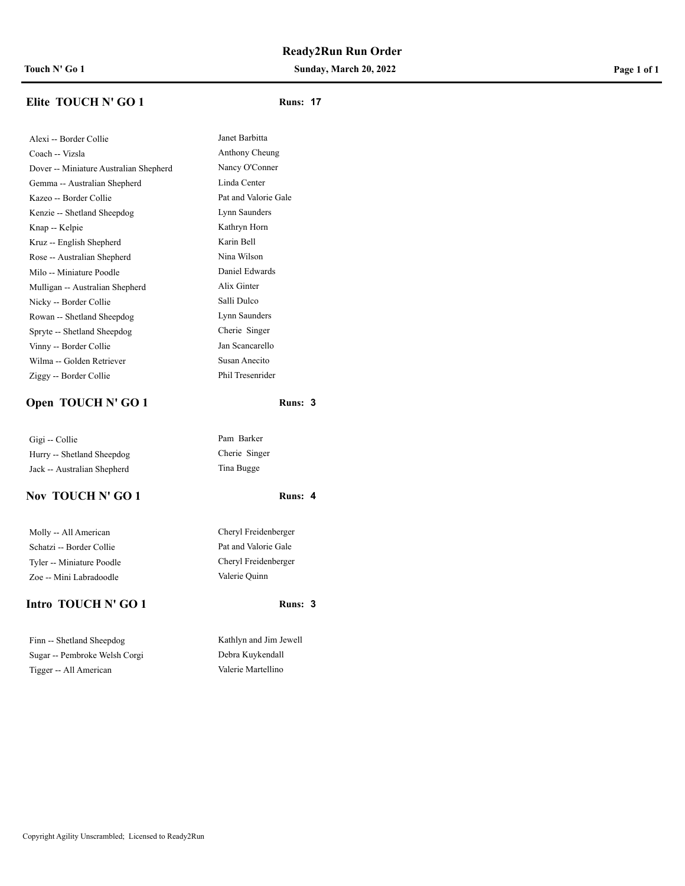**Touch N' Go 1 Sunday, March 20, 2022 Page 1 of 1**

# **Elite TOUCH N' GO 1 Runs: 17**

Janet Barbitta Anthony Cheung Nancy O'Conner Linda Center Pat and Valorie Gale Lynn Saunders Kathryn Horn Karin Bell Nina Wilson Daniel Edwards Alix Ginter Salli Dulco Lynn Saunders Cherie Singer Jan Scancarello Susan Anecito Phil Tresenrider

| Alexi -- Border Collie                 |  |  |
|----------------------------------------|--|--|
| Coach -- Vizsla                        |  |  |
| Dover -- Miniature Australian Shepherd |  |  |
| Gemma -- Australian Shepherd           |  |  |
| Kazeo -- Border Collie                 |  |  |
| Kenzie -- Shetland Sheepdog            |  |  |
| Knap -- Kelpie                         |  |  |
| Kruz -- English Shepherd               |  |  |
| Rose -- Australian Shepherd            |  |  |
| Milo -- Miniature Poodle               |  |  |
| Mulligan -- Australian Shepherd        |  |  |
| Nicky -- Border Collie                 |  |  |
| Rowan -- Shetland Sheepdog             |  |  |
| Spryte -- Shetland Sheepdog            |  |  |
| Vinny -- Border Collie                 |  |  |
| Wilma -- Golden Retriever              |  |  |
| Ziggy -- Border Collie                 |  |  |
|                                        |  |  |

## **Open TOUCH N' GO 1 Runs:** 3

Gigi -- Collie Pam Barker Hurry -- Shetland Sheepdog Cherie Singer Jack -- Australian Shepherd Tina Bugge

## **Nov TOUCH N' GO 1 Runs: 4**

Molly -- All American Cheryl Freidenberger Schatzi -- Border Collie Pat and Valorie Gale Tyler -- Miniature Poodle Cheryl Freidenberger Zoe -- Mini Labradoodle Valerie Quinn

## **Intro TOUCH N' GO 1 Runs:** 3

Finn -- Shetland Sheepdog Kathlyn and Jim Jewell Sugar -- Pembroke Welsh Corgi Debra Kuykendall Tigger -- All American Valerie Martellino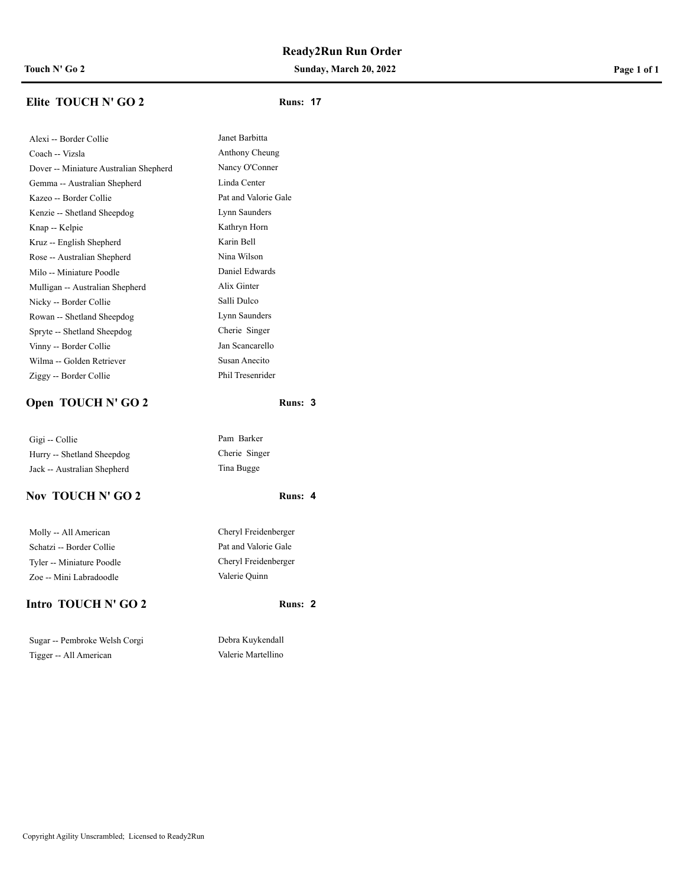**Touch N' Go 2 Sunday, March 20, 2022 Page 1 of 1**

## **Elite TOUCH N' GO 2 Runs: 17**

| Alexi -- Border Collie                 |
|----------------------------------------|
| Coach -- Vizsla                        |
| Dover -- Miniature Australian Shepherd |
| Gemma -- Australian Shepherd           |
| Kazeo -- Border Collie                 |
| Kenzie -- Shetland Sheepdog            |
| Knap -- Kelpie                         |
| Kruz -- English Shepherd               |
| Rose -- Australian Shepherd            |
| Milo -- Miniature Poodle               |
| Mulligan -- Australian Shepherd        |
| Nicky -- Border Collie                 |
| Rowan -- Shetland Sheepdog             |
| Spryte -- Shetland Sheepdog            |
| Vinny -- Border Collie                 |
| Wilma -- Golden Retriever              |
| Ziggy -- Border Collie                 |
|                                        |

## **Open TOUCH N' GO 2 Runs:** 3

Gigi -- Collie Pam Barker Hurry -- Shetland Sheepdog Cherie Singer Jack -- Australian Shepherd Tina Bugge

## **Nov TOUCH N' GO 2 Runs: 4**

Molly -- All American Cheryl Freidenberger Schatzi -- Border Collie Pat and Valorie Gale Tyler -- Miniature Poodle Cheryl Freidenberger Zoe -- Mini Labradoodle Valerie Quinn

## **Intro TOUCH N' GO 2 Runs:** 2

Sugar -- Pembroke Welsh Corgi Debra Kuykendall Tigger -- All American Valerie Martellino

## Pat and Valorie Gale Lynn Saunders Kathryn Horn Karin Bell Nina Wilson Daniel Edwards Alix Ginter Salli Dulco Lynn Saunders Cherie Singer Jan Scancarello Susan Anecito

Janet Barbitta Anthony Cheung Nancy O'Conner Linda Center

Phil Tresenrider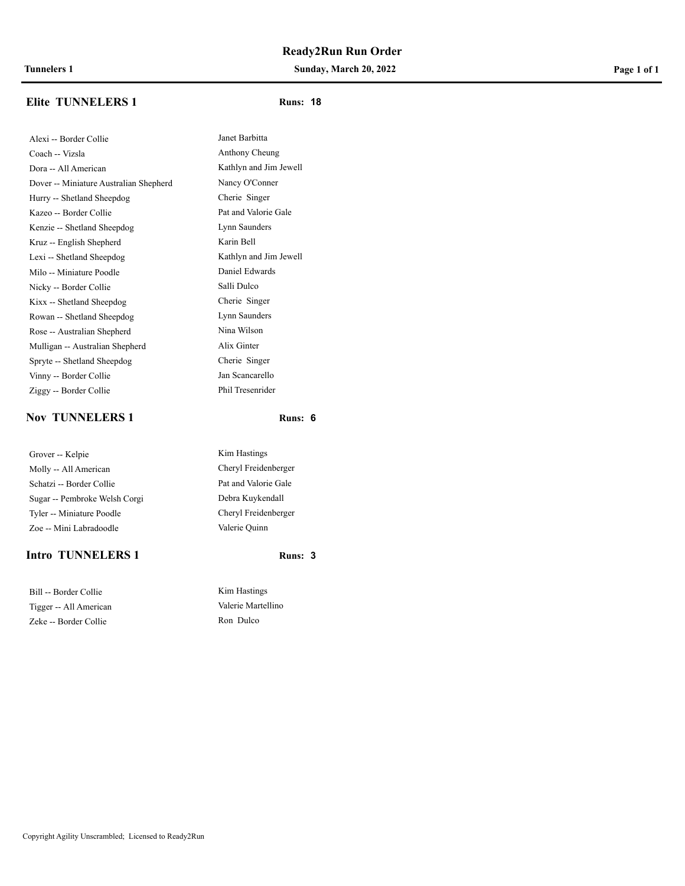**Tunnelers 1 Sunday, March 20, 2022 Page 1 of 1**

## **Elite TUNNELERS 1 Runs:** 18

Alexi -- Border Collie Janet Barbitta Coach -- Vizsla Anthony Cheung Dora -- All American Kathlyn and Jim Jewell Dover -- Miniature Australian Shepherd Nancy O'Conner Hurry -- Shetland Sheepdog Cherie Singer Kazeo -- Border Collie Pat and Valorie Gale Kenzie -- Shetland Sheepdog Lynn Saunders Kruz -- English Shepherd Karin Bell Lexi -- Shetland Sheepdog Kathlyn and Jim Jewell Milo -- Miniature Poodle Daniel Edwards Nicky -- Border Collie Salli Dulco Kixx -- Shetland Sheepdog Cherie Singer Rowan -- Shetland Sheepdog Lynn Saunders Rose -- Australian Shepherd Nina Wilson Mulligan -- Australian Shepherd Alix Ginter Spryte -- Shetland Sheepdog Cherie Singer Vinny -- Border Collie Jan Scancarello Ziggy -- Border Collie Phil Tresenrider

## **Nov TUNNELERS 1 Runs:** 6

| Grover -- Kelpie              |  |  |
|-------------------------------|--|--|
| Molly -- All American         |  |  |
| Schatzi -- Border Collie      |  |  |
| Sugar -- Pembroke Welsh Corgi |  |  |
| Tyler -- Miniature Poodle     |  |  |
| Zoe -- Mini Labradoodle       |  |  |

### **Intro TUNNELERS 1 Runs:** 3

Bill -- Border Collie Kim Hastings Tigger -- All American Valerie Martellino Zeke -- Border Collie Ron Dulco

Kim Hastings Cheryl Freidenberger Pat and Valorie Gale Debra Kuykendall Cheryl Freidenberger Valerie Quinn